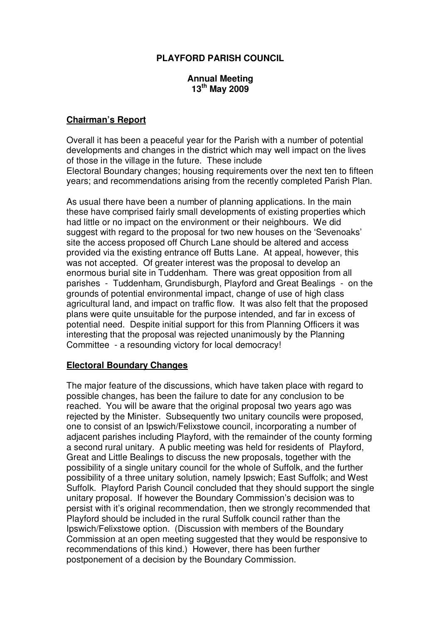### **PLAYFORD PARISH COUNCIL**

#### **Annual Meeting 13th May 2009**

#### **Chairman's Report**

Overall it has been a peaceful year for the Parish with a number of potential developments and changes in the district which may well impact on the lives of those in the village in the future. These include Electoral Boundary changes; housing requirements over the next ten to fifteen years; and recommendations arising from the recently completed Parish Plan.

As usual there have been a number of planning applications. In the main these have comprised fairly small developments of existing properties which had little or no impact on the environment or their neighbours. We did suggest with regard to the proposal for two new houses on the 'Sevenoaks' site the access proposed off Church Lane should be altered and access provided via the existing entrance off Butts Lane. At appeal, however, this was not accepted. Of greater interest was the proposal to develop an enormous burial site in Tuddenham. There was great opposition from all parishes - Tuddenham, Grundisburgh, Playford and Great Bealings - on the grounds of potential environmental impact, change of use of high class agricultural land, and impact on traffic flow. It was also felt that the proposed plans were quite unsuitable for the purpose intended, and far in excess of potential need. Despite initial support for this from Planning Officers it was interesting that the proposal was rejected unanimously by the Planning Committee - a resounding victory for local democracy!

#### **Electoral Boundary Changes**

The major feature of the discussions, which have taken place with regard to possible changes, has been the failure to date for any conclusion to be reached. You will be aware that the original proposal two years ago was rejected by the Minister. Subsequently two unitary councils were proposed, one to consist of an Ipswich/Felixstowe council, incorporating a number of adjacent parishes including Playford, with the remainder of the county forming a second rural unitary. A public meeting was held for residents of Playford, Great and Little Bealings to discuss the new proposals, together with the possibility of a single unitary council for the whole of Suffolk, and the further possibility of a three unitary solution, namely Ipswich; East Suffolk; and West Suffolk. Playford Parish Council concluded that they should support the single unitary proposal. If however the Boundary Commission's decision was to persist with it's original recommendation, then we strongly recommended that Playford should be included in the rural Suffolk council rather than the Ipswich/Felixstowe option. (Discussion with members of the Boundary Commission at an open meeting suggested that they would be responsive to recommendations of this kind.) However, there has been further postponement of a decision by the Boundary Commission.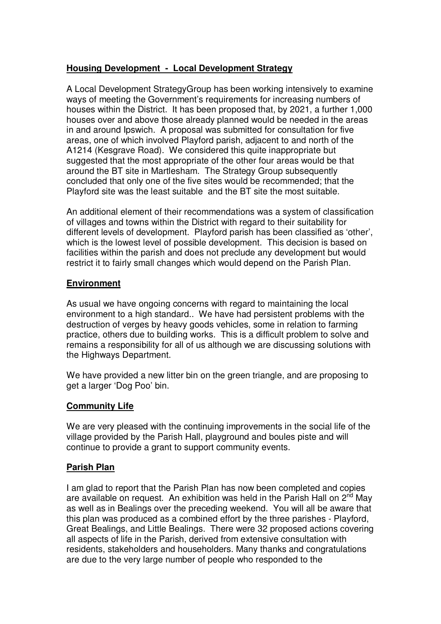# **Housing Development - Local Development Strategy**

A Local Development StrategyGroup has been working intensively to examine ways of meeting the Government's requirements for increasing numbers of houses within the District. It has been proposed that, by 2021, a further 1,000 houses over and above those already planned would be needed in the areas in and around Ipswich. A proposal was submitted for consultation for five areas, one of which involved Playford parish, adjacent to and north of the A1214 (Kesgrave Road). We considered this quite inappropriate but suggested that the most appropriate of the other four areas would be that around the BT site in Martlesham. The Strategy Group subsequently concluded that only one of the five sites would be recommended; that the Playford site was the least suitable and the BT site the most suitable.

An additional element of their recommendations was a system of classification of villages and towns within the District with regard to their suitability for different levels of development. Playford parish has been classified as 'other', which is the lowest level of possible development. This decision is based on facilities within the parish and does not preclude any development but would restrict it to fairly small changes which would depend on the Parish Plan.

## **Environment**

As usual we have ongoing concerns with regard to maintaining the local environment to a high standard.. We have had persistent problems with the destruction of verges by heavy goods vehicles, some in relation to farming practice, others due to building works. This is a difficult problem to solve and remains a responsibility for all of us although we are discussing solutions with the Highways Department.

We have provided a new litter bin on the green triangle, and are proposing to get a larger 'Dog Poo' bin.

## **Community Life**

We are very pleased with the continuing improvements in the social life of the village provided by the Parish Hall, playground and boules piste and will continue to provide a grant to support community events.

## **Parish Plan**

I am glad to report that the Parish Plan has now been completed and copies are available on request. An exhibition was held in the Parish Hall on  $2^{nd}$  May as well as in Bealings over the preceding weekend. You will all be aware that this plan was produced as a combined effort by the three parishes - Playford, Great Bealings, and Little Bealings. There were 32 proposed actions covering all aspects of life in the Parish, derived from extensive consultation with residents, stakeholders and householders. Many thanks and congratulations are due to the very large number of people who responded to the